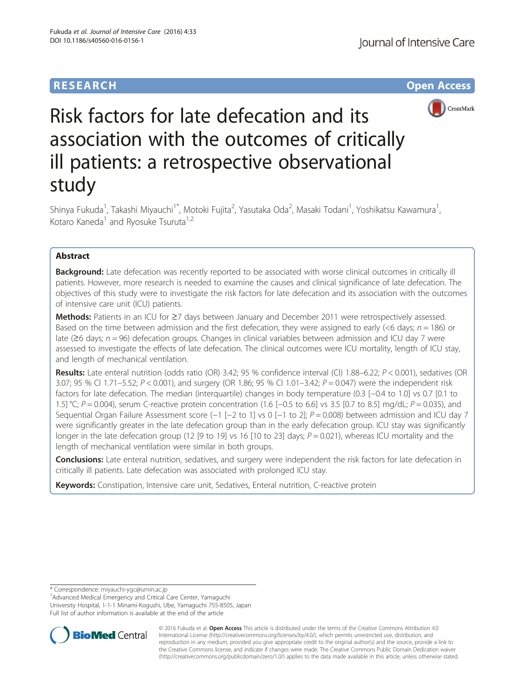# **RESEARCH CHE Open Access**



# Risk factors for late defecation and its association with the outcomes of critically ill patients: a retrospective observational study

Shinya Fukuda<sup>1</sup>, Takashi Miyauchi<sup>1\*</sup>, Motoki Fujita<sup>2</sup>, Yasutaka Oda<sup>2</sup>, Masaki Todani<sup>1</sup>, Yoshikatsu Kawamura<sup>1</sup> , Kotaro Kaneda<sup>1</sup> and Ryosuke Tsuruta<sup>1,2</sup>

## Abstract

Background: Late defecation was recently reported to be associated with worse clinical outcomes in critically ill patients. However, more research is needed to examine the causes and clinical significance of late defecation. The objectives of this study were to investigate the risk factors for late defecation and its association with the outcomes of intensive care unit (ICU) patients.

Methods: Patients in an ICU for ≥7 days between January and December 2011 were retrospectively assessed. Based on the time between admission and the first defecation, they were assigned to early ( $<6$  days;  $n = 186$ ) or late (≥6 days; n = 96) defecation groups. Changes in clinical variables between admission and ICU day 7 were assessed to investigate the effects of late defecation. The clinical outcomes were ICU mortality, length of ICU stay, and length of mechanical ventilation.

Results: Late enteral nutrition (odds ratio (OR) 3.42; 95 % confidence interval (CI) 1.88–6.22; P < 0.001), sedatives (OR 3.07; 95 % CI 1.71–5.52; P < 0.001), and surgery (OR 1.86; 95 % CI 1.01–3.42; P = 0.047) were the independent risk factors for late defecation. The median (interquartile) changes in body temperature (0.3 [−0.4 to 1.0] vs 0.7 [0.1 to 1.5] °C; P = 0.004), serum C-reactive protein concentration (1.6 [−0.5 to 6.6] vs 3.5 [0.7 to 8.5] mg/dL; P = 0.035), and Sequential Organ Failure Assessment score (−1 [−2 to 1] vs 0 [−1 to 2]; P = 0.008) between admission and ICU day 7 were significantly greater in the late defecation group than in the early defecation group. ICU stay was significantly longer in the late defecation group (12 [9 to 19] vs 16 [10 to 23] days;  $P = 0.021$ ), whereas ICU mortality and the length of mechanical ventilation were similar in both groups.

**Conclusions:** Late enteral nutrition, sedatives, and surgery were independent the risk factors for late defecation in critically ill patients. Late defecation was associated with prolonged ICU stay.

Keywords: Constipation, Intensive care unit, Sedatives, Enteral nutrition, C-reactive protein

<sup>1</sup> Advanced Medical Emergency and Critical Care Center, Yamaguchi University Hospital, 1-1-1 Minami-Kogushi, Ube, Yamaguchi 755-8505, Japan Full list of author information is available at the end of the article



© 2016 Fukuda et al. Open Access This article is distributed under the terms of the Creative Commons Attribution 4.0 International License [\(http://creativecommons.org/licenses/by/4.0/](http://creativecommons.org/licenses/by/4.0/)), which permits unrestricted use, distribution, and reproduction in any medium, provided you give appropriate credit to the original author(s) and the source, provide a link to the Creative Commons license, and indicate if changes were made. The Creative Commons Public Domain Dedication waiver [\(http://creativecommons.org/publicdomain/zero/1.0/](http://creativecommons.org/publicdomain/zero/1.0/)) applies to the data made available in this article, unless otherwise stated.

<sup>\*</sup> Correspondence: [miyauchi-ygc@umin.ac.jp](mailto:miyauchi-ygc@umin.ac.jp) <sup>1</sup>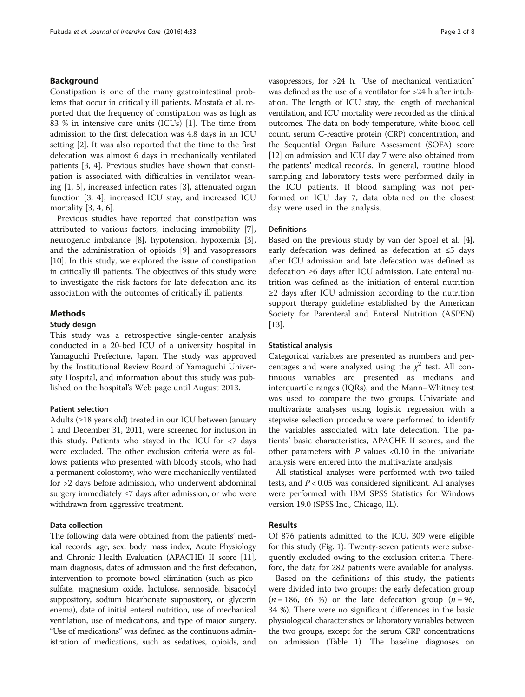#### Background

Constipation is one of the many gastrointestinal problems that occur in critically ill patients. Mostafa et al. reported that the frequency of constipation was as high as 83 % in intensive care units (ICUs) [[1\]](#page-6-0). The time from admission to the first defecation was 4.8 days in an ICU setting [\[2](#page-6-0)]. It was also reported that the time to the first defecation was almost 6 days in mechanically ventilated patients [[3, 4](#page-6-0)]. Previous studies have shown that constipation is associated with difficulties in ventilator weaning [[1, 5](#page-6-0)], increased infection rates [\[3](#page-6-0)], attenuated organ function [\[3](#page-6-0), [4\]](#page-6-0), increased ICU stay, and increased ICU mortality [[3, 4, 6\]](#page-6-0).

Previous studies have reported that constipation was attributed to various factors, including immobility [\[7](#page-6-0)], neurogenic imbalance [\[8](#page-6-0)], hypotension, hypoxemia [\[3](#page-6-0)], and the administration of opioids [\[9](#page-6-0)] and vasopressors [[10\]](#page-6-0). In this study, we explored the issue of constipation in critically ill patients. The objectives of this study were to investigate the risk factors for late defecation and its association with the outcomes of critically ill patients.

#### Methods

#### Study design

This study was a retrospective single-center analysis conducted in a 20-bed ICU of a university hospital in Yamaguchi Prefecture, Japan. The study was approved by the Institutional Review Board of Yamaguchi University Hospital, and information about this study was published on the hospital's Web page until August 2013.

#### Patient selection

Adults (≥18 years old) treated in our ICU between January 1 and December 31, 2011, were screened for inclusion in this study. Patients who stayed in the ICU for <7 days were excluded. The other exclusion criteria were as follows: patients who presented with bloody stools, who had a permanent colostomy, who were mechanically ventilated for >2 days before admission, who underwent abdominal surgery immediately ≤7 days after admission, or who were withdrawn from aggressive treatment.

#### Data collection

The following data were obtained from the patients' medical records: age, sex, body mass index, Acute Physiology and Chronic Health Evaluation (APACHE) II score [\[11](#page-6-0)], main diagnosis, dates of admission and the first defecation, intervention to promote bowel elimination (such as picosulfate, magnesium oxide, lactulose, sennoside, bisacodyl suppository, sodium bicarbonate suppository, or glycerin enema), date of initial enteral nutrition, use of mechanical ventilation, use of medications, and type of major surgery. "Use of medications" was defined as the continuous administration of medications, such as sedatives, opioids, and vasopressors, for >24 h. "Use of mechanical ventilation" was defined as the use of a ventilator for >24 h after intubation. The length of ICU stay, the length of mechanical ventilation, and ICU mortality were recorded as the clinical outcomes. The data on body temperature, white blood cell count, serum C-reactive protein (CRP) concentration, and the Sequential Organ Failure Assessment (SOFA) score [[12](#page-6-0)] on admission and ICU day 7 were also obtained from the patients' medical records. In general, routine blood sampling and laboratory tests were performed daily in the ICU patients. If blood sampling was not performed on ICU day 7, data obtained on the closest day were used in the analysis.

#### **Definitions**

Based on the previous study by van der Spoel et al. [\[4](#page-6-0)], early defecation was defined as defecation at ≤5 days after ICU admission and late defecation was defined as defecation ≥6 days after ICU admission. Late enteral nutrition was defined as the initiation of enteral nutrition ≥2 days after ICU admission according to the nutrition support therapy guideline established by the American Society for Parenteral and Enteral Nutrition (ASPEN) [[13\]](#page-6-0).

#### Statistical analysis

Categorical variables are presented as numbers and percentages and were analyzed using the  $\chi^2$  test. All continuous variables are presented as medians and interquartile ranges (IQRs), and the Mann–Whitney test was used to compare the two groups. Univariate and multivariate analyses using logistic regression with a stepwise selection procedure were performed to identify the variables associated with late defecation. The patients' basic characteristics, APACHE II scores, and the other parameters with  $P$  values <0.10 in the univariate analysis were entered into the multivariate analysis.

All statistical analyses were performed with two-tailed tests, and  $P < 0.05$  was considered significant. All analyses were performed with IBM SPSS Statistics for Windows version 19.0 (SPSS Inc., Chicago, IL).

#### Results

Of 876 patients admitted to the ICU, 309 were eligible for this study (Fig. [1](#page-2-0)). Twenty-seven patients were subsequently excluded owing to the exclusion criteria. Therefore, the data for 282 patients were available for analysis.

Based on the definitions of this study, the patients were divided into two groups: the early defecation group  $(n = 186, 66 \%)$  or the late defecation group  $(n = 96,$ 34 %). There were no significant differences in the basic physiological characteristics or laboratory variables between the two groups, except for the serum CRP concentrations on admission (Table [1](#page-3-0)). The baseline diagnoses on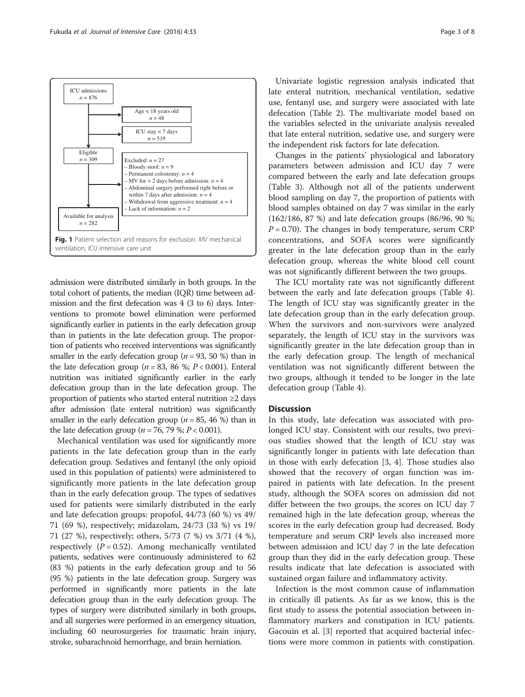<span id="page-2-0"></span>

admission were distributed similarly in both groups. In the total cohort of patients, the median (IQR) time between admission and the first defecation was 4 (3 to 6) days. Interventions to promote bowel elimination were performed significantly earlier in patients in the early defecation group than in patients in the late defecation group. The proportion of patients who received interventions was significantly smaller in the early defecation group ( $n = 93, 50$  %) than in the late defecation group ( $n = 83$ , 86 %;  $P < 0.001$ ). Enteral nutrition was initiated significantly earlier in the early defecation group than in the late defecation group. The proportion of patients who started enteral nutrition ≥2 days after admission (late enteral nutrition) was significantly smaller in the early defecation group ( $n = 85, 46$  %) than in the late defecation group ( $n = 76$ , 79 %;  $P < 0.001$ ).

Mechanical ventilation was used for significantly more patients in the late defecation group than in the early defecation group. Sedatives and fentanyl (the only opioid used in this population of patients) were administered to significantly more patients in the late defecation group than in the early defecation group. The types of sedatives used for patients were similarly distributed in the early and late defecation groups: propofol, 44/73 (60 %) vs 49/ 71 (69 %), respectively; midazolam, 24/73 (33 %) vs 19/ 71 (27 %), respectively; others, 5/73 (7 %) vs 3/71 (4 %), respectively  $(P = 0.52)$ . Among mechanically ventilated patients, sedatives were continuously administered to 62 (83 %) patients in the early defecation group and to 56 (95 %) patients in the late defecation group. Surgery was performed in significantly more patients in the late defecation group than in the early defecation group. The types of surgery were distributed similarly in both groups, and all surgeries were performed in an emergency situation, including 60 neurosurgeries for traumatic brain injury, stroke, subarachnoid hemorrhage, and brain herniation.

Univariate logistic regression analysis indicated that late enteral nutrition, mechanical ventilation, sedative use, fentanyl use, and surgery were associated with late defecation (Table [2](#page-4-0)). The multivariate model based on the variables selected in the univariate analysis revealed that late enteral nutrition, sedative use, and surgery were the independent risk factors for late defecation.

Changes in the patients' physiological and laboratory parameters between admission and ICU day 7 were compared between the early and late defecation groups (Table [3\)](#page-4-0). Although not all of the patients underwent blood sampling on day 7, the proportion of patients with blood samples obtained on day 7 was similar in the early (162/186, 87 %) and late defecation groups (86/96, 90 %;  $P = 0.70$ ). The changes in body temperature, serum CRP concentrations, and SOFA scores were significantly greater in the late defecation group than in the early defecation group, whereas the white blood cell count was not significantly different between the two groups.

The ICU mortality rate was not significantly different between the early and late defecation groups (Table [4](#page-5-0)). The length of ICU stay was significantly greater in the late defecation group than in the early defecation group. When the survivors and non-survivors were analyzed separately, the length of ICU stay in the survivors was significantly greater in the late defecation group than in the early defecation group. The length of mechanical ventilation was not significantly different between the two groups, although it tended to be longer in the late defecation group (Table [4\)](#page-5-0).

#### **Discussion**

In this study, late defecation was associated with prolonged ICU stay. Consistent with our results, two previous studies showed that the length of ICU stay was significantly longer in patients with late defecation than in those with early defecation [[3](#page-6-0), [4](#page-6-0)]. Those studies also showed that the recovery of organ function was impaired in patients with late defecation. In the present study, although the SOFA scores on admission did not differ between the two groups, the scores on ICU day 7 remained high in the late defecation group, whereas the scores in the early defecation group had decreased. Body temperature and serum CRP levels also increased more between admission and ICU day 7 in the late defecation group than they did in the early defecation group. These results indicate that late defecation is associated with sustained organ failure and inflammatory activity.

Infection is the most common cause of inflammation in critically ill patients. As far as we know, this is the first study to assess the potential association between inflammatory markers and constipation in ICU patients. Gacouin et al. [\[3](#page-6-0)] reported that acquired bacterial infections were more common in patients with constipation.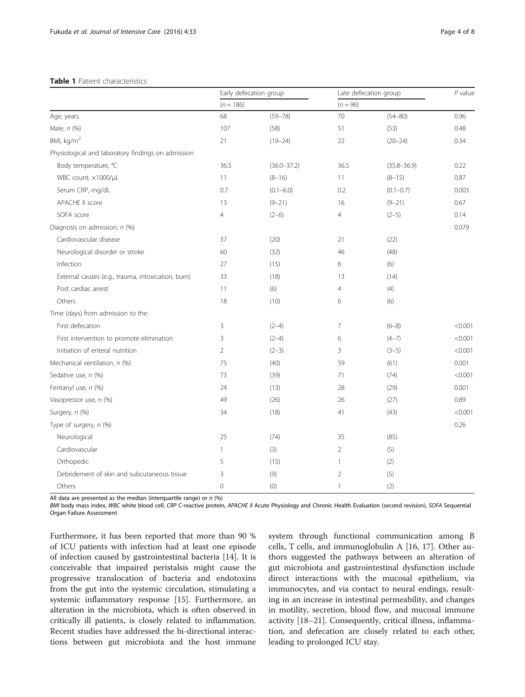#### <span id="page-3-0"></span>Table 1 Patient characteristics

|                                                    | Early defecation group |                 | Late defecation group |                 | $P$ value |
|----------------------------------------------------|------------------------|-----------------|-----------------------|-----------------|-----------|
|                                                    | $(n = 186)$            |                 | $(n = 96)$            |                 |           |
| Age, years                                         | 68                     | $(59 - 78)$     | 70                    | $(54 - 80)$     | 0.96      |
| Male, n (%)                                        | 107                    | (58)            | 51                    | (53)            | 0.48      |
| BMI, kg/m <sup>2</sup>                             | 21                     | $(19 - 24)$     | 22                    | $(20 - 24)$     | 0.34      |
| Physiological and laboratory findings on admission |                        |                 |                       |                 |           |
| Body temperature, °C                               | 36.5                   | $(36.0 - 37.2)$ | 36.5                  | $(35.8 - 36.9)$ | 0.22      |
| WBC count, x1000/µL                                | 11                     | $(8 - 16)$      | 11                    | $(8-15)$        | 0.87      |
| Serum CRP, mg/dL                                   | 0.7                    | $(0.1 - 6.0)$   | 0.2                   | $(0.1 - 0.7)$   | 0.003     |
| APACHE II score                                    | 13                     | $(9 - 21)$      | 16                    | $(9 - 21)$      | 0.67      |
| SOFA score                                         | $\overline{4}$         | $(2-6)$         | $\overline{4}$        | $(2-5)$         | 0.14      |
| Diagnosis on admission, n (%)                      |                        |                 |                       |                 | 0.079     |
| Cardiovascular disease                             | 37                     | (20)            | 21                    | (22)            |           |
| Neurological disorder or stroke                    | 60                     | (32)            | 46                    | (48)            |           |
| Infection                                          | 27                     | (15)            | 6                     | (6)             |           |
| External causes (e.g., trauma, intoxication, burn) | 33                     | (18)            | 13                    | (14)            |           |
| Post cardiac arrest                                | 11                     | (6)             | 4                     | (4)             |           |
| Others                                             | 18                     | (10)            | 6                     | (6)             |           |
| Time (days) from admission to the:                 |                        |                 |                       |                 |           |
| First defecation                                   | 3                      | $(2-4)$         | 7                     | $(6-8)$         | < 0.001   |
| First intervention to promote elimination          | 3                      | $(2-4)$         | 6                     | $(4-7)$         | < 0.001   |
| Initiation of enteral nutrition                    | $\overline{2}$         | $(2-3)$         | 3                     | $(3-5)$         | < 0.001   |
| Mechanical ventilation, n (%)                      | 75                     | (40)            | 59                    | (61)            | 0.001     |
| Sedative use, n (%)                                | 73                     | (39)            | 71                    | (74)            | < 0.001   |
| Fentanyl use, n (%)                                | 24                     | (13)            | 28                    | (29)            | 0.001     |
| Vasopressor use, n (%)                             | 49                     | (26)            | 26                    | (27)            | 0.89      |
| Surgery, n (%)                                     | 34                     | (18)            | 41                    | (43)            | < 0.001   |
| Type of surgery, n (%)                             |                        |                 |                       |                 | 0.26      |
| Neurological                                       | 25                     | (74)            | 35                    | (85)            |           |
| Cardiovascular                                     | 1                      | (3)             | 2                     | (5)             |           |
| Orthopedic                                         | 5                      | (15)            | $\mathbf{1}$          | (2)             |           |
| Debridement of skin and subcutaneous tissue        | 3                      | (9)             | $\overline{2}$        | (5)             |           |
| Others                                             | $\mathbf 0$            | (0)             | $\mathbf{1}$          | (2)             |           |

All data are presented as the median (interquartile range) or  $n$  (%)

BMI body mass index, WBC white blood cell, CRP C-reactive protein, APACHE II Acute Physiology and Chronic Health Evaluation (second revision), SOFA Sequential Organ Failure Assessment

Furthermore, it has been reported that more than 90 % of ICU patients with infection had at least one episode of infection caused by gastrointestinal bacteria [[14\]](#page-6-0). It is conceivable that impaired peristalsis might cause the progressive translocation of bacteria and endotoxins from the gut into the systemic circulation, stimulating a systemic inflammatory response [[15\]](#page-6-0). Furthermore, an alteration in the microbiota, which is often observed in critically ill patients, is closely related to inflammation. Recent studies have addressed the bi-directional interactions between gut microbiota and the host immune

system through functional communication among B cells, T cells, and immunoglobulin A [[16](#page-6-0), [17\]](#page-6-0). Other authors suggested the pathways between an alteration of gut microbiota and gastrointestinal dysfunction include direct interactions with the mucosal epithelium, via immunocytes, and via contact to neural endings, resulting in an increase in intestinal permeability, and changes in motility, secretion, blood flow, and mucosal immune activity [\[18](#page-6-0)–[21\]](#page-7-0). Consequently, critical illness, inflammation, and defecation are closely related to each other, leading to prolonged ICU stay.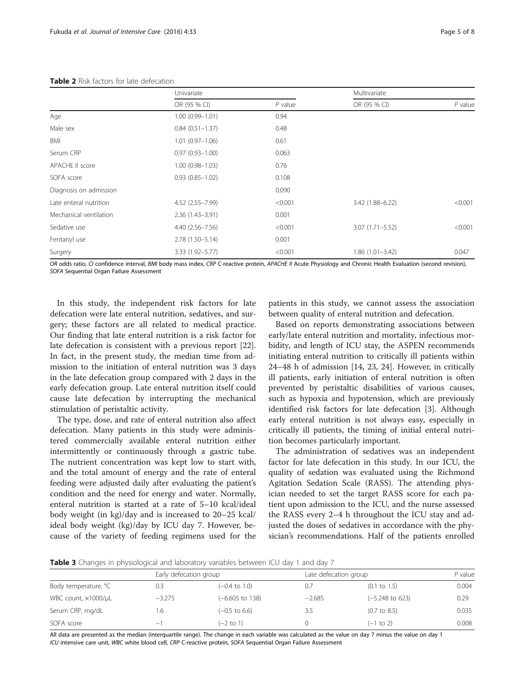#### <span id="page-4-0"></span>Table 2 Risk factors for late defecation

|                        | Univariate          |           | Multivariate        |           |
|------------------------|---------------------|-----------|---------------------|-----------|
|                        | OR (95 % CI)        | $P$ value | OR (95 % CI)        | $P$ value |
| Age                    | $1.00(0.99 - 1.01)$ | 0.94      |                     |           |
| Male sex               | $0.84(0.51 - 1.37)$ | 0.48      |                     |           |
| BMI                    | $1.01(0.97 - 1.06)$ | 0.61      |                     |           |
| Serum CRP              | $0.97(0.93 - 1.00)$ | 0.063     |                     |           |
| APACHE II score        | $1.00(0.98 - 1.03)$ | 0.76      |                     |           |
| SOFA score             | $0.93(0.85 - 1.02)$ | 0.108     |                     |           |
| Diagnosis on admission |                     | 0.090     |                     |           |
| Late enteral nutrition | 4.52 (2.55-7.99)    | < 0.001   | 3.42 (1.88-6.22)    | < 0.001   |
| Mechanical ventilation | $2.36(1.43 - 3.91)$ | 0.001     |                     |           |
| Sedative use           | $4.40(2.56 - 7.56)$ | < 0.001   | $3.07(1.71 - 5.52)$ | < 0.001   |
| Fentanyl use           | $2.78(1.50 - 5.14)$ | 0.001     |                     |           |
| Surgery                | $3.33(1.92 - 5.77)$ | < 0.001   | $1.86(1.01 - 3.42)$ | 0.047     |

OR odds ratio, CI confidence interval, BMI body mass index, CRP C-reactive protein, APACHE II Acute Physiology and Chronic Health Evaluation (second revision), SOFA Sequential Organ Failure Assessment

In this study, the independent risk factors for late defecation were late enteral nutrition, sedatives, and surgery; these factors are all related to medical practice. Our finding that late enteral nutrition is a risk factor for late defecation is consistent with a previous report [\[22](#page-7-0)]. In fact, in the present study, the median time from admission to the initiation of enteral nutrition was 3 days in the late defecation group compared with 2 days in the early defecation group. Late enteral nutrition itself could cause late defecation by interrupting the mechanical stimulation of peristaltic activity.

The type, dose, and rate of enteral nutrition also affect defecation. Many patients in this study were administered commercially available enteral nutrition either intermittently or continuously through a gastric tube. The nutrient concentration was kept low to start with, and the total amount of energy and the rate of enteral feeding were adjusted daily after evaluating the patient's condition and the need for energy and water. Normally, enteral nutrition is started at a rate of 5–10 kcal/ideal body weight (in kg)/day and is increased to 20–25 kcal/ ideal body weight (kg)/day by ICU day 7. However, because of the variety of feeding regimens used for the patients in this study, we cannot assess the association between quality of enteral nutrition and defecation.

Based on reports demonstrating associations between early/late enteral nutrition and mortality, infectious morbidity, and length of ICU stay, the ASPEN recommends initiating enteral nutrition to critically ill patients within 24–48 h of admission [[14](#page-6-0), [23, 24](#page-7-0)]. However, in critically ill patients, early initiation of enteral nutrition is often prevented by peristaltic disabilities of various causes, such as hypoxia and hypotension, which are previously identified risk factors for late defecation [\[3](#page-6-0)]. Although early enteral nutrition is not always easy, especially in critically ill patients, the timing of initial enteral nutrition becomes particularly important.

The administration of sedatives was an independent factor for late defecation in this study. In our ICU, the quality of sedation was evaluated using the Richmond Agitation Sedation Scale (RASS). The attending physician needed to set the target RASS score for each patient upon admission to the ICU, and the nurse assessed the RASS every 2–4 h throughout the ICU stay and adjusted the doses of sedatives in accordance with the physician's recommendations. Half of the patients enrolled

**Table 3** Changes in physiological and laboratory variables between ICU day 1 and day 7

|                      |          | Early defecation group     |          | Late defecation group      |       |
|----------------------|----------|----------------------------|----------|----------------------------|-------|
| Body temperature, °C | 0.3      | $(-0.4 \text{ to } 1.0)$   | 0.7      | $(0.1 \text{ to } 1.5)$    | 0.004 |
| WBC count, x1000/uL  | $-3.275$ | $(-6.605 \text{ to } 138)$ | $-2.685$ | $(-5.248 \text{ to } 623)$ | 0.29  |
| Serum CRP, mg/dL     | l.6      | $(-0.5 \text{ to } 6.6)$   | 3.5      | $(0.7 \text{ to } 8.5)$    | 0.035 |
| SOFA score           | —        | $(-2$ to 1)                |          | $(-1 to 2)$                | 0.008 |

All data are presented as the median (interquartile range). The change in each variable was calculated as the value on day 7 minus the value on day 1 ICU intensive care unit, WBC white blood cell, CRP C-reactive protein, SOFA Sequential Organ Failure Assessment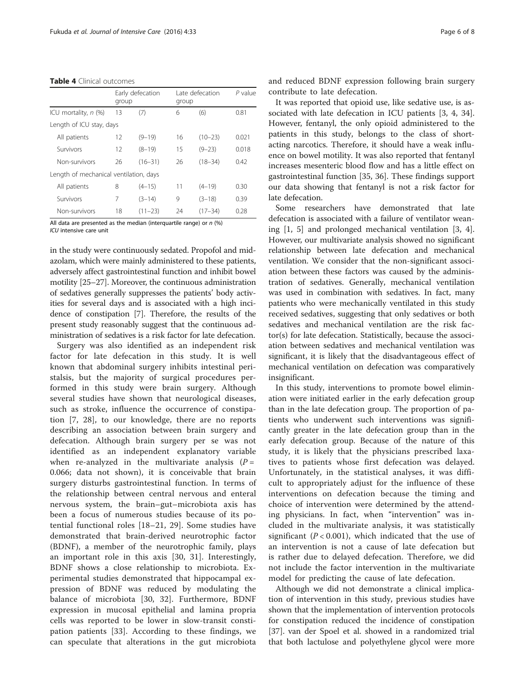<span id="page-5-0"></span>Table 4 Clinical outcomes

|                                        |    | Early defecation<br>group |    | Late defecation<br>group | $P$ value |  |
|----------------------------------------|----|---------------------------|----|--------------------------|-----------|--|
| ICU mortality, $n$ (%)                 | 13 | (7)                       | 6  | (6)                      | 0.81      |  |
| Length of ICU stay, days               |    |                           |    |                          |           |  |
| All patients                           | 12 | $(9 - 19)$                | 16 | $(10 - 23)$              | 0.021     |  |
| Survivors                              | 12 | $(8 - 19)$                | 15 | $(9 - 23)$               | 0.018     |  |
| Non-survivors                          | 26 | $(16 - 31)$               | 26 | $(18 - 34)$              | 0.42      |  |
| Length of mechanical ventilation, days |    |                           |    |                          |           |  |
| All patients                           | 8  | $(4 - 15)$                | 11 | $(4 - 19)$               | 0.30      |  |
| Survivors                              | 7  | $(3-14)$                  | 9  | $(3-18)$                 | 0.39      |  |
| Non-survivors                          | 18 | $(11 - 23)$               | 24 | $(17 - 34)$              | 0.28      |  |
|                                        |    |                           |    |                          |           |  |

All data are presented as the median (interquartile range) or  $n$  (%) ICU intensive care unit

in the study were continuously sedated. Propofol and midazolam, which were mainly administered to these patients, adversely affect gastrointestinal function and inhibit bowel motility [\[25](#page-7-0)–[27](#page-7-0)]. Moreover, the continuous administration of sedatives generally suppresses the patients' body activities for several days and is associated with a high incidence of constipation [\[7\]](#page-6-0). Therefore, the results of the present study reasonably suggest that the continuous administration of sedatives is a risk factor for late defecation.

Surgery was also identified as an independent risk factor for late defecation in this study. It is well known that abdominal surgery inhibits intestinal peristalsis, but the majority of surgical procedures performed in this study were brain surgery. Although several studies have shown that neurological diseases, such as stroke, influence the occurrence of constipation [[7,](#page-6-0) [28](#page-7-0)], to our knowledge, there are no reports describing an association between brain surgery and defecation. Although brain surgery per se was not identified as an independent explanatory variable when re-analyzed in the multivariate analysis  $(P =$ 0.066; data not shown), it is conceivable that brain surgery disturbs gastrointestinal function. In terms of the relationship between central nervous and enteral nervous system, the brain–gut–microbiota axis has been a focus of numerous studies because of its potential functional roles [\[18](#page-6-0)–[21](#page-7-0), [29](#page-7-0)]. Some studies have demonstrated that brain-derived neurotrophic factor (BDNF), a member of the neurotrophic family, plays an important role in this axis [\[30](#page-7-0), [31\]](#page-7-0). Interestingly, BDNF shows a close relationship to microbiota. Experimental studies demonstrated that hippocampal expression of BDNF was reduced by modulating the balance of microbiota [[30](#page-7-0), [32\]](#page-7-0). Furthermore, BDNF expression in mucosal epithelial and lamina propria cells was reported to be lower in slow-transit constipation patients [\[33](#page-7-0)]. According to these findings, we can speculate that alterations in the gut microbiota and reduced BDNF expression following brain surgery contribute to late defecation.

It was reported that opioid use, like sedative use, is associated with late defecation in ICU patients [\[3](#page-6-0), [4](#page-6-0), [34](#page-7-0)]. However, fentanyl, the only opioid administered to the patients in this study, belongs to the class of shortacting narcotics. Therefore, it should have a weak influence on bowel motility. It was also reported that fentanyl increases mesenteric blood flow and has a little effect on gastrointestinal function [[35, 36\]](#page-7-0). These findings support our data showing that fentanyl is not a risk factor for late defecation.

Some researchers have demonstrated that late defecation is associated with a failure of ventilator weaning [\[1](#page-6-0), [5\]](#page-6-0) and prolonged mechanical ventilation [[3, 4](#page-6-0)]. However, our multivariate analysis showed no significant relationship between late defecation and mechanical ventilation. We consider that the non-significant association between these factors was caused by the administration of sedatives. Generally, mechanical ventilation was used in combination with sedatives. In fact, many patients who were mechanically ventilated in this study received sedatives, suggesting that only sedatives or both sedatives and mechanical ventilation are the risk factor(s) for late defecation. Statistically, because the association between sedatives and mechanical ventilation was significant, it is likely that the disadvantageous effect of mechanical ventilation on defecation was comparatively insignificant.

In this study, interventions to promote bowel elimination were initiated earlier in the early defecation group than in the late defecation group. The proportion of patients who underwent such interventions was significantly greater in the late defecation group than in the early defecation group. Because of the nature of this study, it is likely that the physicians prescribed laxatives to patients whose first defecation was delayed. Unfortunately, in the statistical analyses, it was difficult to appropriately adjust for the influence of these interventions on defecation because the timing and choice of intervention were determined by the attending physicians. In fact, when "intervention" was included in the multivariate analysis, it was statistically significant ( $P < 0.001$ ), which indicated that the use of an intervention is not a cause of late defecation but is rather due to delayed defecation. Therefore, we did not include the factor intervention in the multivariate model for predicting the cause of late defecation.

Although we did not demonstrate a clinical implication of intervention in this study, previous studies have shown that the implementation of intervention protocols for constipation reduced the incidence of constipation [[37\]](#page-7-0). van der Spoel et al. showed in a randomized trial that both lactulose and polyethylene glycol were more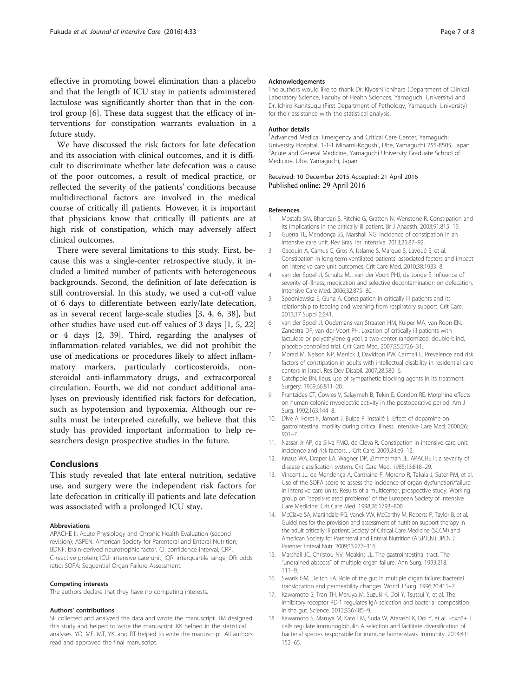<span id="page-6-0"></span>effective in promoting bowel elimination than a placebo and that the length of ICU stay in patients administered lactulose was significantly shorter than that in the control group [6]. These data suggest that the efficacy of interventions for constipation warrants evaluation in a future study.

We have discussed the risk factors for late defecation and its association with clinical outcomes, and it is difficult to discriminate whether late defecation was a cause of the poor outcomes, a result of medical practice, or reflected the severity of the patients' conditions because multidirectional factors are involved in the medical course of critically ill patients. However, it is important that physicians know that critically ill patients are at high risk of constipation, which may adversely affect clinical outcomes.

There were several limitations to this study. First, because this was a single-center retrospective study, it included a limited number of patients with heterogeneous backgrounds. Second, the definition of late defecation is still controversial. In this study, we used a cut-off value of 6 days to differentiate between early/late defecation, as in several recent large-scale studies [3, 4, 6, [38\]](#page-7-0), but other studies have used cut-off values of 3 days [1, 5, [22](#page-7-0)] or 4 days [2, [39](#page-7-0)]. Third, regarding the analyses of inflammation-related variables, we did not prohibit the use of medications or procedures likely to affect inflammatory markers, particularly corticosteroids, nonsteroidal anti-inflammatory drugs, and extracorporeal circulation. Fourth, we did not conduct additional analyses on previously identified risk factors for defecation, such as hypotension and hypoxemia. Although our results must be interpreted carefully, we believe that this study has provided important information to help researchers design prospective studies in the future.

#### Conclusions

This study revealed that late enteral nutrition, sedative use, and surgery were the independent risk factors for late defecation in critically ill patients and late defecation was associated with a prolonged ICU stay.

#### Abbreviations

APACHE II: Acute Physiology and Chronic Health Evaluation (second revision); ASPEN: American Society for Parenteral and Enteral Nutrition; BDNF: brain-derived neurotrophic factor; CI: confidence interval; CRP: C-reactive protein; ICU: intensive care unit; IQR: interquartile range; OR: odds ratio; SOFA: Sequential Organ Failure Assessment.

#### Competing interests

The authors declare that they have no competing interests.

#### Authors' contributions

SF collected and analyzed the data and wrote the manuscript. TM designed this study and helped to write the manuscript. KK helped in the statistical analyses. YO, MF, MT, YK, and RT helped to write the manuscript. All authors read and approved the final manuscript.

#### Acknowledgements

The authors would like to thank Dr. Kiyoshi Ichihara (Department of Clinical Laboratory Science, Faculty of Health Sciences, Yamaguchi University) and Dr. Ichiro Kunitsugu (First Department of Pathology, Yamaguchi University) for their assistance with the statistical analysis.

#### Author details

<sup>1</sup> Advanced Medical Emergency and Critical Care Center, Yamaguchi University Hospital, 1-1-1 Minami-Kogushi, Ube, Yamaguchi 755-8505, Japan. <sup>2</sup> Acute and General Medicine, Yamaguchi University Graduate School of Medicine, Ube, Yamaguchi, Japan.

#### Received: 10 December 2015 Accepted: 21 April 2016 Published online: 29 April 2016

#### References

- 1. Mostafa SM, Bhandari S, Ritchie G, Gratton N, Wenstone R. Constipation and its implications in the critically ill patient. Br J Anaesth. 2003;91:815–19.
- 2. Guerra TL, Mendonça SS, Marshall NG. Incidence of constipation in an intensive care unit. Rev Bras Ter Intensiva. 2013;25:87–92.
- 3. Gacouin A, Camus C, Gros A, Isslame S, Marque S, Lavoué S, et al. Constipation in long-term ventilated patients: associated factors and impact on intensive care unit outcomes. Crit Care Med. 2010;38:1933–8.
- 4. van der Spoel JI, Schultz MJ, van der Voort PHJ, de Jonge E. Influence of severity of illness, medication and selective decontamination on defecation. Intensive Care Med. 2006;32:875–80.
- 5. Spodniewska E, Guha A. Constipation in critically ill patients and its relationship to feeding and weaning from respiratory support. Crit Care. 2013;17 Suppl 2:241.
- 6. van der Spoel JI, Oudemans-van Straaten HM, Kuiper MA, van Roon EN, Zandstra DF, van der Voort PH. Laxation of critically ill patients with lactulose or polyethylene glycol: a two-center randomized, double-blind, placebo-controlled trial. Crit Care Med. 2007;35:2726–31.
- 7. Morad M, Nelson NP, Merrick J, Davidson PW, Carmeli E. Prevalence and risk factors of constipation in adults with intellectual disability in residential care centers in Israel. Res Dev Disabil. 2007;28:580–6.
- 8. Catchpole BN. Ileus: use of sympathetic blocking agents in its treatment. Surgery. 1969;66:811–20.
- 9. Frantzides CT, Cowles V, Salaymeh B, Tekin E, Condon RE. Morphine effects on human colonic myoelectric activity in the postoperative period. Am J Surg. 1992;163:144–8.
- 10. Dive A, Foret F, Jamart J, Bulpa P, Installé E. Effect of dopamine on gastrointestinal motility during critical illness. Intensive Care Med. 2000;26: 901–7.
- 11. Nassar Jr AP, da Silva FMQ, de Cleva R. Constipation in intensive care unit: incidence and risk factors. J Crit Care. 2009;24:e9–12.
- 12. Knaus WA, Draper EA, Wagner DP, Zimmerman JE. APACHE II: a severity of disease classification system. Crit Care Med. 1985;13:818–29.
- 13. Vincent JL, de Mendonça A, Cantraine F, Moreno R, Takala J, Suter PM, et al. Use of the SOFA score to assess the incidence of organ dysfunction/failure in intensive care units: Results of a multicenter, prospective study. Working group on "sepsis-related problems" of the European Society of Intensive Care Medicine. Crit Care Med. 1998;26:1793–800.
- 14. McClave SA, Martindale RG, Vanek VW, McCarthy M, Roberts P, Taylor B, et al. Guidelines for the provision and assessment of nutrition support therapy in the adult critically ill patient: Society of Critical Care Medicine (SCCM) and American Society for Parenteral and Enteral Nutrition (A.S.P.E.N.). JPEN J Parenter Enteral Nutr. 2009;33:277–316.
- 15. Marshall JC, Christou NV, Meakins JL. The gastrointestinal tract. The "undrained abscess" of multiple organ failure. Ann Surg. 1993;218: 111–9.
- 16. Swank GM, Deitch EA. Role of the gut in multiple organ failure: bacterial translocation and permeability changes. World J Surg. 1996;20:411–7.
- 17. Kawamoto S, Tran TH, Maruya M, Suzuki K, Doi Y, Tsutsui Y, et al. The inhibitory receptor PD-1 regulates IgA selection and bacterial composition in the gut. Science. 2012;336:485–9.
- 18. Kawamoto S, Maruya M, Kato LM, Suda W, Atarashi K, Doi Y, et al. Foxp3+ T cells regulate immunoglobulin A selection and facilitate diversification of bacterial species responsible for immune homeostasis. Immunity. 2014;41: 152–65.